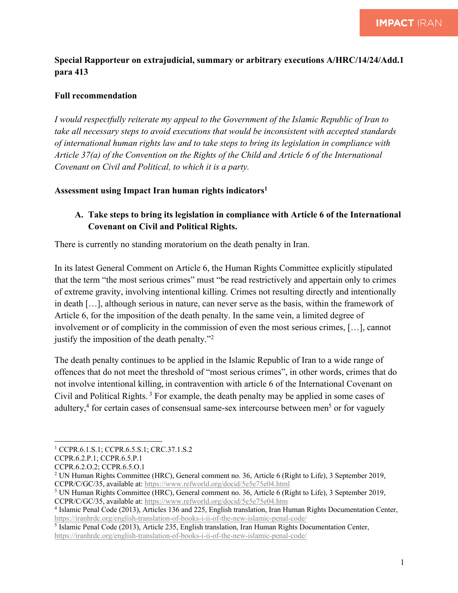### **Special Rapporteur on extrajudicial, summary or arbitrary executions A/HRC/14/24/Add.1 para 413**

### **Full recommendation**

*I would respectfully reiterate my appeal to the Government of the Islamic Republic of Iran to take all necessary steps to avoid executions that would be inconsistent with accepted standards of international human rights law and to take steps to bring its legislation in compliance with Article 37(a) of the Convention on the Rights of the Child and Article 6 of the International Covenant on Civil and Political, to which it is a party.*

#### **Assessment using Impact Iran human rights indicators1**

## **A. Take steps to bring its legislation in compliance with Article 6 of the International Covenant on Civil and Political Rights.**

There is currently no standing moratorium on the death penalty in Iran.

In its latest General Comment on Article 6, the Human Rights Committee explicitly stipulated that the term "the most serious crimes" must "be read restrictively and appertain only to crimes of extreme gravity, involving intentional killing. Crimes not resulting directly and intentionally in death […], although serious in nature, can never serve as the basis, within the framework of Article 6, for the imposition of the death penalty. In the same vein, a limited degree of involvement or of complicity in the commission of even the most serious crimes, […], cannot justify the imposition of the death penalty."2

The death penalty continues to be applied in the Islamic Republic of Iran to a wide range of offences that do not meet the threshold of "most serious crimes", in other words, crimes that do not involve intentional killing, in contravention with article 6 of the International Covenant on Civil and Political Rights. <sup>3</sup> For example, the death penalty may be applied in some cases of adultery, $4$  for certain cases of consensual same-sex intercourse between men<sup>5</sup> or for vaguely

<sup>5</sup> Islamic Penal Code (2013), Article 235, English translation, Iran Human Rights Documentation Center, https://iranhrdc.org/english-translation-of-books-i-ii-of-the-new-islamic-penal-code/

<sup>&</sup>lt;sup>1</sup> CCPR.6.1.S.1; CCPR.6.5.S.1; CRC.37.1.S.2

CCPR.6.2.P.1; CCPR.6.5.P.1

CCPR.6.2.O.2; CCPR.6.5.O.1

<sup>2</sup> UN Human Rights Committee (HRC), General comment no. 36, Article 6 (Right to Life), 3 September 2019, CCPR/C/GC/35, available at: https://www.refworld.org/docid/5e5e75e04.html

<sup>3</sup> UN Human Rights Committee (HRC), General comment no. 36, Article 6 (Right to Life), 3 September 2019, CCPR/C/GC/35, available at: https://www.refworld.org/docid/5e5e75e04.htm

<sup>4</sup> Islamic Penal Code (2013), Articles 136 and 225, English translation, Iran Human Rights Documentation Center, https://iranhrdc.org/english-translation-of-books-i-ii-of-the-new-islamic-penal-code/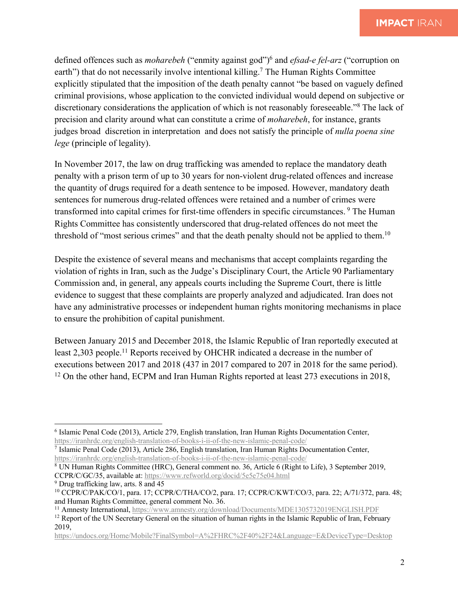defined offences such as *moharebeh* ("enmity against god")6 and *efsad-e fel-arz* ("corruption on earth") that do not necessarily involve intentional killing.<sup>7</sup> The Human Rights Committee explicitly stipulated that the imposition of the death penalty cannot "be based on vaguely defined criminal provisions, whose application to the convicted individual would depend on subjective or discretionary considerations the application of which is not reasonably foreseeable."8 The lack of precision and clarity around what can constitute a crime of *moharebeh*, for instance, grants judges broad discretion in interpretation and does not satisfy the principle of *nulla poena sine lege* (principle of legality).

In November 2017, the law on drug trafficking was amended to replace the mandatory death penalty with a prison term of up to 30 years for non-violent drug-related offences and increase the quantity of drugs required for a death sentence to be imposed. However, mandatory death sentences for numerous drug-related offences were retained and a number of crimes were transformed into capital crimes for first-time offenders in specific circumstances. <sup>9</sup> The Human Rights Committee has consistently underscored that drug-related offences do not meet the threshold of "most serious crimes" and that the death penalty should not be applied to them.<sup>10</sup>

Despite the existence of several means and mechanisms that accept complaints regarding the violation of rights in Iran, such as the Judge's Disciplinary Court, the Article 90 Parliamentary Commission and, in general, any appeals courts including the Supreme Court, there is little evidence to suggest that these complaints are properly analyzed and adjudicated. Iran does not have any administrative processes or independent human rights monitoring mechanisms in place to ensure the prohibition of capital punishment.

Between January 2015 and December 2018, the Islamic Republic of Iran reportedly executed at least 2,303 people.<sup>11</sup> Reports received by OHCHR indicated a decrease in the number of executions between 2017 and 2018 (437 in 2017 compared to 207 in 2018 for the same period). <sup>12</sup> On the other hand, ECPM and Iran Human Rights reported at least 273 executions in 2018,

<sup>6</sup> Islamic Penal Code (2013), Article 279, English translation, Iran Human Rights Documentation Center, https://iranhrdc.org/english-translation-of-books-i-ii-of-the-new-islamic-penal-code/

<sup>7</sup> Islamic Penal Code (2013), Article 286, English translation, Iran Human Rights Documentation Center, https://iranhrdc.org/english-translation-of-books-i-ii-of-the-new-islamic-penal-code/

<sup>8</sup> UN Human Rights Committee (HRC), General comment no. 36, Article 6 (Right to Life), 3 September 2019, CCPR/C/GC/35, available at: https://www.refworld.org/docid/5e5e75e04.html

<sup>9</sup> Drug trafficking law, arts. 8 and 45

<sup>10</sup> CCPR/C/PAK/CO/1, para. 17; CCPR/C/THA/CO/2, para. 17; CCPR/C/KWT/CO/3, para. 22; A/71/372, para. 48; and Human Rights Committee, general comment No. 36.

<sup>11</sup> Amnesty International, https://www.amnesty.org/download/Documents/MDE1305732019ENGLISH.PDF

<sup>&</sup>lt;sup>12</sup> Report of the UN Secretary General on the situation of human rights in the Islamic Republic of Iran, February 2019,

https://undocs.org/Home/Mobile?FinalSymbol=A%2FHRC%2F40%2F24&Language=E&DeviceType=Desktop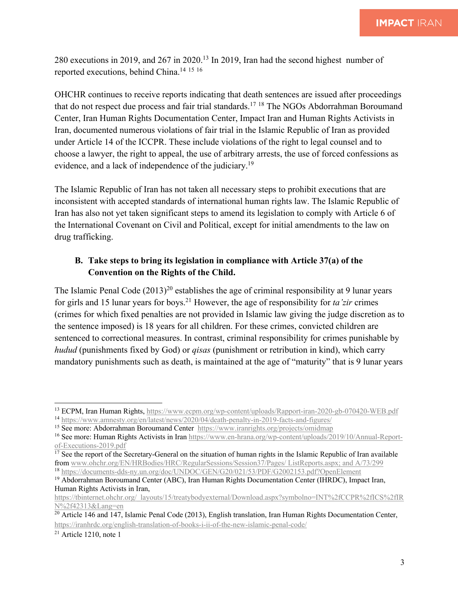280 executions in 2019, and 267 in 2020. <sup>13</sup> In 2019, Iran had the second highest number of reported executions, behind China.14 <sup>15</sup> <sup>16</sup>

OHCHR continues to receive reports indicating that death sentences are issued after proceedings that do not respect due process and fair trial standards.<sup>17</sup> <sup>18</sup> The NGOs Abdorrahman Boroumand Center, Iran Human Rights Documentation Center, Impact Iran and Human Rights Activists in Iran, documented numerous violations of fair trial in the Islamic Republic of Iran as provided under Article 14 of the ICCPR. These include violations of the right to legal counsel and to choose a lawyer, the right to appeal, the use of arbitrary arrests, the use of forced confessions as evidence, and a lack of independence of the judiciary.19

The Islamic Republic of Iran has not taken all necessary steps to prohibit executions that are inconsistent with accepted standards of international human rights law. The Islamic Republic of Iran has also not yet taken significant steps to amend its legislation to comply with Article 6 of the International Covenant on Civil and Political, except for initial amendments to the law on drug trafficking.

# **B. Take steps to bring its legislation in compliance with Article 37(a) of the Convention on the Rights of the Child.**

The Islamic Penal Code  $(2013)^{20}$  establishes the age of criminal responsibility at 9 lunar years for girls and 15 lunar years for boys.21 However, the age of responsibility for *ta'zir* crimes (crimes for which fixed penalties are not provided in Islamic law giving the judge discretion as to the sentence imposed) is 18 years for all children. For these crimes, convicted children are sentenced to correctional measures. In contrast, criminal responsibility for crimes punishable by *hudud* (punishments fixed by God) or *qisas* (punishment or retribution in kind), which carry mandatory punishments such as death, is maintained at the age of "maturity" that is 9 lunar years

<sup>13</sup> ECPM, Iran Human Rights, https://www.ecpm.org/wp-content/uploads/Rapport-iran-2020-gb-070420-WEB.pdf <sup>14</sup> https://www.amnesty.org/en/latest/news/2020/04/death-penalty-in-2019-facts-and-figures/

<sup>15</sup> See more: Abdorrahman Boroumand Center https://www.iranrights.org/projects/omidmap

<sup>&</sup>lt;sup>16</sup> See more: Human Rights Activists in Iran https://www.en-hrana.org/wp-content/uploads/2019/10/Annual-Reportof-Executions-2019.pdf

 $\frac{17}{17}$  See the report of the Secretary-General on the situation of human rights in the Islamic Republic of Iran available from www.ohchr.org/EN/HRBodies/HRC/RegularSessions/Session37/Pages/ ListReports.aspx; and A/73/299 <sup>18</sup> https://documents-dds-ny.un.org/doc/UNDOC/GEN/G20/021/53/PDF/G2002153.pdf?OpenElement

<sup>&</sup>lt;sup>19</sup> Abdorrahman Boroumand Center (ABC), Iran Human Rights Documentation Center (IHRDC), Impact Iran, Human Rights Activists in Iran,

https://tbinternet.ohchr.org/\_layouts/15/treatybodyexternal/Download.aspx?symbolno=INT%2fCCPR%2fICS%2fIR N%2f42313&Lang=en

<sup>&</sup>lt;sup>20</sup> Article 146 and 147, Islamic Penal Code (2013), English translation, Iran Human Rights Documentation Center, https://iranhrdc.org/english-translation-of-books-i-ii-of-the-new-islamic-penal-code/

 $21$  Article 1210, note 1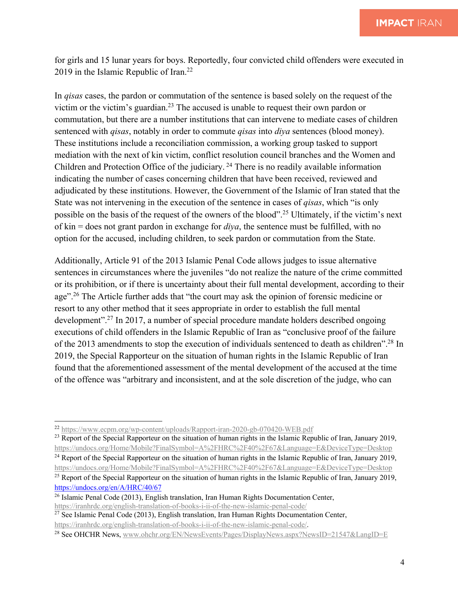for girls and 15 lunar years for boys. Reportedly, four convicted child offenders were executed in 2019 in the Islamic Republic of Iran.<sup>22</sup>

In *qisas* cases, the pardon or commutation of the sentence is based solely on the request of the victim or the victim's guardian.23 The accused is unable to request their own pardon or commutation, but there are a number institutions that can intervene to mediate cases of children sentenced with *qisas*, notably in order to commute *qisas* into *diya* sentences (blood money). These institutions include a reconciliation commission, a working group tasked to support mediation with the next of kin victim, conflict resolution council branches and the Women and Children and Protection Office of the judiciary. <sup>24</sup> There is no readily available information indicating the number of cases concerning children that have been received, reviewed and adjudicated by these institutions. However, the Government of the Islamic of Iran stated that the State was not intervening in the execution of the sentence in cases of *qisas*, which "is only possible on the basis of the request of the owners of the blood".25 Ultimately, if the victim's next of kin = does not grant pardon in exchange for *diya*, the sentence must be fulfilled, with no option for the accused, including children, to seek pardon or commutation from the State.

Additionally, Article 91 of the 2013 Islamic Penal Code allows judges to issue alternative sentences in circumstances where the juveniles "do not realize the nature of the crime committed or its prohibition, or if there is uncertainty about their full mental development, according to their age".<sup>26</sup> The Article further adds that "the court may ask the opinion of forensic medicine or resort to any other method that it sees appropriate in order to establish the full mental development".27 In 2017, a number of special procedure mandate holders described ongoing executions of child offenders in the Islamic Republic of Iran as "conclusive proof of the failure of the 2013 amendments to stop the execution of individuals sentenced to death as children".28 In 2019, the Special Rapporteur on the situation of human rights in the Islamic Republic of Iran found that the aforementioned assessment of the mental development of the accused at the time of the offence was "arbitrary and inconsistent, and at the sole discretion of the judge, who can

<sup>22</sup> https://www.ecpm.org/wp-content/uploads/Rapport-iran-2020-gb-070420-WEB.pdf

<sup>&</sup>lt;sup>23</sup> Report of the Special Rapporteur on the situation of human rights in the Islamic Republic of Iran, January 2019, https://undocs.org/Home/Mobile?FinalSymbol=A%2FHRC%2F40%2F67&Language=E&DeviceType=Desktop

<sup>&</sup>lt;sup>24</sup> Report of the Special Rapporteur on the situation of human rights in the Islamic Republic of Iran, January 2019, https://undocs.org/Home/Mobile?FinalSymbol=A%2FHRC%2F40%2F67&Language=E&DeviceType=Desktop

<sup>&</sup>lt;sup>25</sup> Report of the Special Rapporteur on the situation of human rights in the Islamic Republic of Iran, January 2019, https://undocs.org/en/A/HRC/40/67

<sup>26</sup> Islamic Penal Code (2013), English translation, Iran Human Rights Documentation Center, https://iranhrdc.org/english-translation-of-books-i-ii-of-the-new-islamic-penal-code/

<sup>&</sup>lt;sup>27</sup> See Islamic Penal Code (2013), English translation, Iran Human Rights Documentation Center, https://iranhrdc.org/english-translation-of-books-i-ii-of-the-new-islamic-penal-code/.

<sup>&</sup>lt;sup>28</sup> See OHCHR News, www.ohchr.org/EN/NewsEvents/Pages/DisplayNews.aspx?NewsID=21547&LangID=E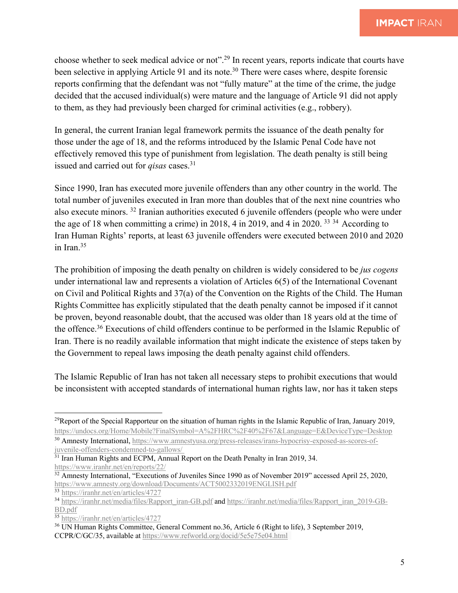choose whether to seek medical advice or not".29 In recent years, reports indicate that courts have been selective in applying Article 91 and its note.<sup>30</sup> There were cases where, despite forensic reports confirming that the defendant was not "fully mature" at the time of the crime, the judge decided that the accused individual(s) were mature and the language of Article 91 did not apply to them, as they had previously been charged for criminal activities (e.g., robbery).

In general, the current Iranian legal framework permits the issuance of the death penalty for those under the age of 18, and the reforms introduced by the Islamic Penal Code have not effectively removed this type of punishment from legislation. The death penalty is still being issued and carried out for *qisas* cases.31

Since 1990, Iran has executed more juvenile offenders than any other country in the world. The total number of juveniles executed in Iran more than doubles that of the next nine countries who also execute minors. <sup>32</sup> Iranian authorities executed 6 juvenile offenders (people who were under the age of 18 when committing a crime) in 2018, 4 in 2019, and 4 in 2020. <sup>33</sup> <sup>34</sup> According to Iran Human Rights' reports, at least 63 juvenile offenders were executed between 2010 and 2020 in Iran.35

The prohibition of imposing the death penalty on children is widely considered to be *jus cogens* under international law and represents a violation of Articles 6(5) of the International Covenant on Civil and Political Rights and 37(a) of the Convention on the Rights of the Child. The Human Rights Committee has explicitly stipulated that the death penalty cannot be imposed if it cannot be proven, beyond reasonable doubt, that the accused was older than 18 years old at the time of the offence.36 Executions of child offenders continue to be performed in the Islamic Republic of Iran. There is no readily available information that might indicate the existence of steps taken by the Government to repeal laws imposing the death penalty against child offenders.

The Islamic Republic of Iran has not taken all necessary steps to prohibit executions that would be inconsistent with accepted standards of international human rights law, nor has it taken steps

<sup>&</sup>lt;sup>29</sup>Report of the Special Rapporteur on the situation of human rights in the Islamic Republic of Iran, January 2019, https://undocs.org/Home/Mobile?FinalSymbol=A%2FHRC%2F40%2F67&Language=E&DeviceType=Desktop

<sup>30</sup> Amnesty International, https://www.amnestyusa.org/press-releases/irans-hypocrisy-exposed-as-scores-ofjuvenile-offenders-condemned-to-gallows/

<sup>&</sup>lt;sup>31</sup> Iran Human Rights and ECPM, Annual Report on the Death Penalty in Iran 2019, 34. https://www.iranhr.net/en/reports/22/

<sup>&</sup>lt;sup>32</sup> Amnesty International, "Executions of Juveniles Since 1990 as of November 2019" accessed April 25, 2020, https://www.amnesty.org/download/Documents/ACT5002332019ENGLISH.pdf

<sup>33</sup> https://iranhr.net/en/articles/4727

<sup>34</sup> https://iranhr.net/media/files/Rapport\_iran-GB.pdf and https://iranhr.net/media/files/Rapport\_iran\_2019-GB-BD.pdf

<sup>35</sup> https://iranhr.net/en/articles/4727

<sup>36</sup> UN Human Rights Committee, General Comment no.36, Article 6 (Right to life), 3 September 2019, CCPR/C/GC/35, available at https://www.refworld.org/docid/5e5e75e04.html